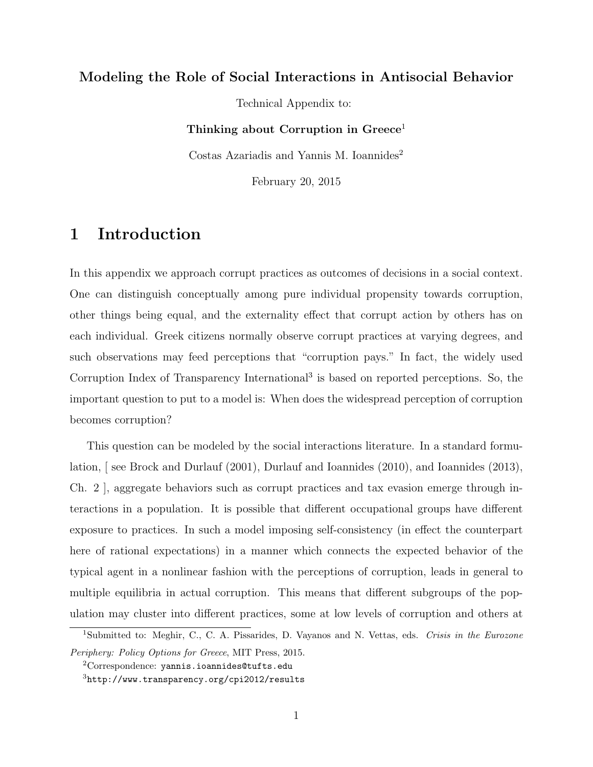### **Modeling the Role of Social Interactions in Antisocial Behavior**

Technical Appendix to:

**Thinking about Corruption in Greece**<sup>1</sup>

Costas Azariadis and Yannis M. Ioannides<sup>2</sup>

February 20, 2015

### **1 Introduction**

In this appendix we approach corrupt practices as outcomes of decisions in a social context. One can distinguish conceptually among pure individual propensity towards corruption, other things being equal, and the externality effect that corrupt action by others has on each individual. Greek citizens normally observe corrupt practices at varying degrees, and such observations may feed perceptions that "corruption pays." In fact, the widely used Corruption Index of Transparency International<sup>3</sup> is based on reported perceptions. So, the important question to put to a model is: When does the widespread perception of corruption becomes corruption?

This question can be modeled by the social interactions literature. In a standard formulation, [ see Brock and Durlauf (2001), Durlauf and Ioannides (2010), and Ioannides (2013), Ch. 2 ], aggregate behaviors such as corrupt practices and tax evasion emerge through interactions in a population. It is possible that different occupational groups have different exposure to practices. In such a model imposing self-consistency (in effect the counterpart here of rational expectations) in a manner which connects the expected behavior of the typical agent in a nonlinear fashion with the perceptions of corruption, leads in general to multiple equilibria in actual corruption. This means that different subgroups of the population may cluster into different practices, some at low levels of corruption and others at

<sup>1</sup>Submitted to: Meghir, C., C. A. Pissarides, D. Vayanos and N. Vettas, eds. *Crisis in the Eurozone Periphery: Policy Options for Greece*, MIT Press, 2015.

<sup>2</sup>Correspondence: yannis.ioannides@tufts.edu

<sup>3</sup>http://www.transparency.org/cpi2012/results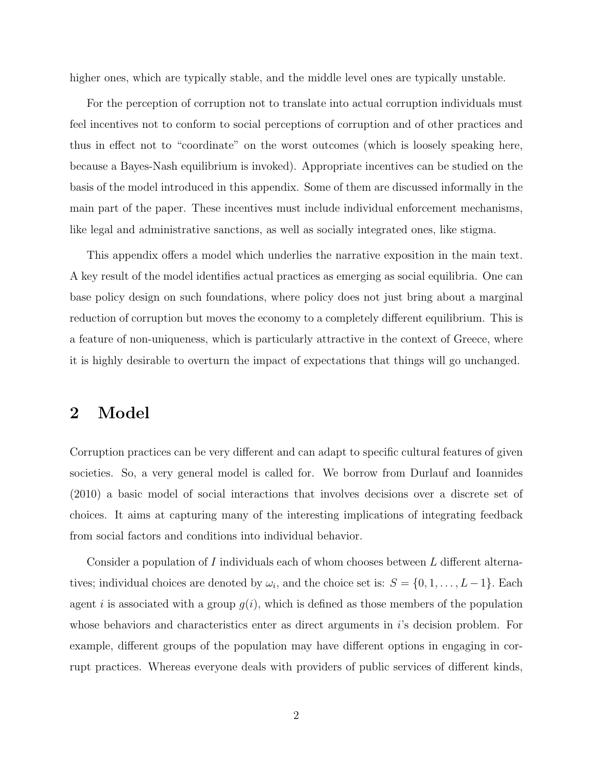higher ones, which are typically stable, and the middle level ones are typically unstable.

For the perception of corruption not to translate into actual corruption individuals must feel incentives not to conform to social perceptions of corruption and of other practices and thus in effect not to "coordinate" on the worst outcomes (which is loosely speaking here, because a Bayes-Nash equilibrium is invoked). Appropriate incentives can be studied on the basis of the model introduced in this appendix. Some of them are discussed informally in the main part of the paper. These incentives must include individual enforcement mechanisms, like legal and administrative sanctions, as well as socially integrated ones, like stigma.

This appendix offers a model which underlies the narrative exposition in the main text. A key result of the model identifies actual practices as emerging as social equilibria. One can base policy design on such foundations, where policy does not just bring about a marginal reduction of corruption but moves the economy to a completely different equilibrium. This is a feature of non-uniqueness, which is particularly attractive in the context of Greece, where it is highly desirable to overturn the impact of expectations that things will go unchanged.

# **2 Model**

Corruption practices can be very different and can adapt to specific cultural features of given societies. So, a very general model is called for. We borrow from Durlauf and Ioannides (2010) a basic model of social interactions that involves decisions over a discrete set of choices. It aims at capturing many of the interesting implications of integrating feedback from social factors and conditions into individual behavior.

Consider a population of *I* individuals each of whom chooses between *L* different alternatives; individual choices are denoted by  $\omega_i$ , and the choice set is:  $S = \{0, 1, \ldots, L-1\}$ . Each agent *i* is associated with a group  $g(i)$ , which is defined as those members of the population whose behaviors and characteristics enter as direct arguments in *i*'s decision problem. For example, different groups of the population may have different options in engaging in corrupt practices. Whereas everyone deals with providers of public services of different kinds,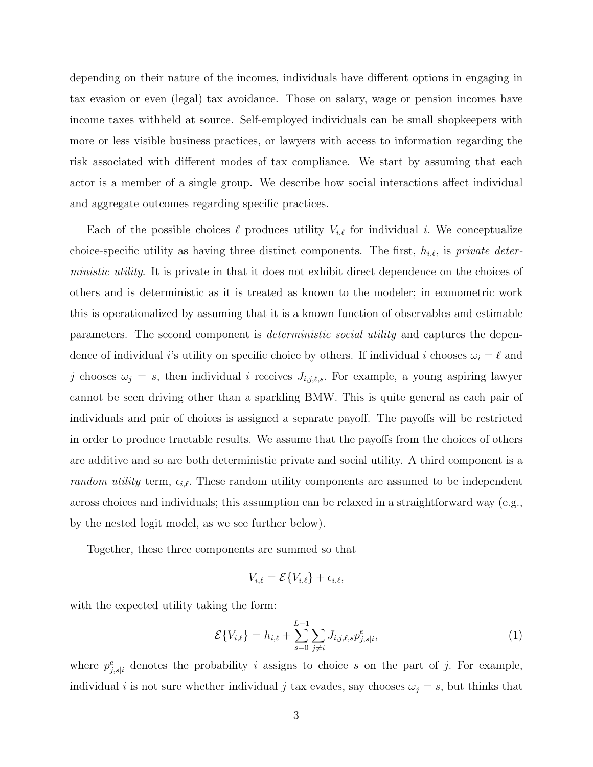depending on their nature of the incomes, individuals have different options in engaging in tax evasion or even (legal) tax avoidance. Those on salary, wage or pension incomes have income taxes withheld at source. Self-employed individuals can be small shopkeepers with more or less visible business practices, or lawyers with access to information regarding the risk associated with different modes of tax compliance. We start by assuming that each actor is a member of a single group. We describe how social interactions affect individual and aggregate outcomes regarding specific practices.

Each of the possible choices  $\ell$  produces utility  $V_{i,\ell}$  for individual *i*. We conceptualize choice-specific utility as having three distinct components. The first, *hi,ℓ,* is *private deterministic utility*. It is private in that it does not exhibit direct dependence on the choices of others and is deterministic as it is treated as known to the modeler; in econometric work this is operationalized by assuming that it is a known function of observables and estimable parameters. The second component is *deterministic social utility* and captures the dependence of individual *i*'s utility on specific choice by others. If individual *i* chooses  $\omega_i = \ell$  and *j* chooses  $\omega_j = s$ , then individual *i* receives  $J_{i,j,\ell,s}$ . For example, a young aspiring lawyer cannot be seen driving other than a sparkling BMW. This is quite general as each pair of individuals and pair of choices is assigned a separate payoff. The payoffs will be restricted in order to produce tractable results. We assume that the payoffs from the choices of others are additive and so are both deterministic private and social utility. A third component is a *random utility* term,  $\epsilon_{i,\ell}$ . These random utility components are assumed to be independent across choices and individuals; this assumption can be relaxed in a straightforward way (e.g., by the nested logit model, as we see further below).

Together, these three components are summed so that

$$
V_{i,\ell} = \mathcal{E}\{V_{i,\ell}\} + \epsilon_{i,\ell},
$$

with the expected utility taking the form:

$$
\mathcal{E}\{V_{i,\ell}\} = h_{i,\ell} + \sum_{s=0}^{L-1} \sum_{j \neq i} J_{i,j,\ell,s} p_{j,s|i}^e,\tag{1}
$$

where  $p_{j,s|i}^e$  denotes the probability *i* assigns to choice *s* on the part of *j*. For example, individual *i* is not sure whether individual *j* tax evades, say chooses  $\omega_j = s$ , but thinks that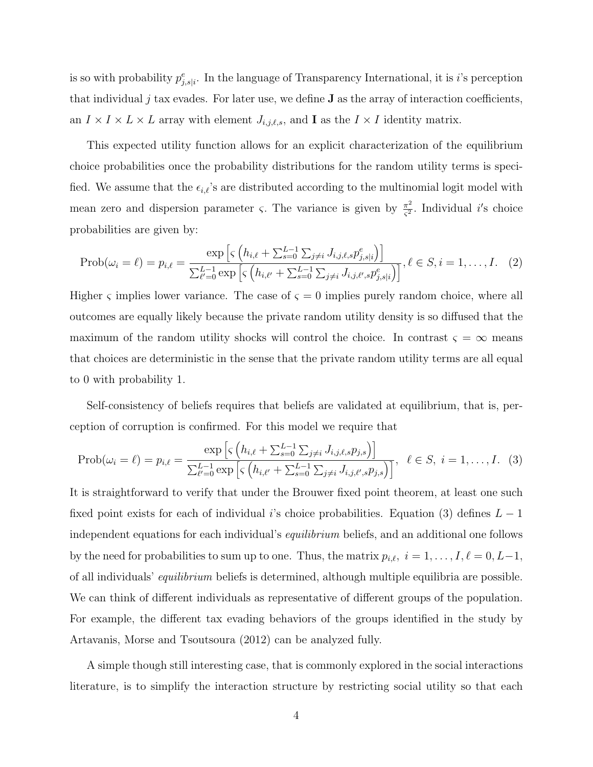is so with probability  $p_{j,s|i}^e$ . In the language of Transparency International, it is *i*'s perception that individual  $j$  tax evades. For later use, we define  $J$  as the array of interaction coefficients, an  $I \times I \times L \times L$  array with element  $J_{i,j,\ell,s}$ , and **I** as the  $I \times I$  identity matrix.

This expected utility function allows for an explicit characterization of the equilibrium choice probabilities once the probability distributions for the random utility terms is specified. We assume that the  $\epsilon_{i,\ell}$ 's are distributed according to the multinomial logit model with mean zero and dispersion parameter *ς*. The variance is given by  $\frac{\pi^2}{c^2}$ *ς* 2 *.* Individual *i ′* s choice probabilities are given by:

$$
\text{Prob}(\omega_i = \ell) = p_{i,\ell} = \frac{\exp\left[\varsigma \left(h_{i,\ell} + \sum_{s=0}^{L-1} \sum_{j\neq i} J_{i,j,\ell,s} p_{j,s|i}^e\right)\right]}{\sum_{\ell'=0}^{L-1} \exp\left[\varsigma \left(h_{i,\ell'} + \sum_{s=0}^{L-1} \sum_{j\neq i} J_{i,j,\ell',s} p_{j,s|i}^e\right)\right]}, \ell \in S, i = 1, \dots, I. \quad (2)
$$

Higher  $\varsigma$  implies lower variance. The case of  $\varsigma = 0$  implies purely random choice, where all outcomes are equally likely because the private random utility density is so diffused that the maximum of the random utility shocks will control the choice. In contrast  $\varsigma = \infty$  means that choices are deterministic in the sense that the private random utility terms are all equal to 0 with probability 1*.*

Self-consistency of beliefs requires that beliefs are validated at equilibrium, that is, perception of corruption is confirmed. For this model we require that

$$
\text{Prob}(\omega_i = \ell) = p_{i,\ell} = \frac{\exp\left[\varsigma \left(h_{i,\ell} + \sum_{s=0}^{L-1} \sum_{j\neq i} J_{i,j,\ell,s} p_{j,s}\right)\right]}{\sum_{\ell'=0}^{L-1} \exp\left[\varsigma \left(h_{i,\ell'} + \sum_{s=0}^{L-1} \sum_{j\neq i} J_{i,j,\ell',s} p_{j,s}\right)\right]}, \quad \ell \in S, \ i = 1, \dots, I. \tag{3}
$$

It is straightforward to verify that under the Brouwer fixed point theorem, at least one such fixed point exists for each of individual *i*'s choice probabilities. Equation (3) defines *L −* 1 independent equations for each individual's *equilibrium* beliefs, and an additional one follows by the need for probabilities to sum up to one. Thus, the matrix  $p_{i,\ell}$ ,  $i = 1, \ldots, I, \ell = 0, L-1$ , of all individuals' *equilibrium* beliefs is determined, although multiple equilibria are possible. We can think of different individuals as representative of different groups of the population. For example, the different tax evading behaviors of the groups identified in the study by Artavanis, Morse and Tsoutsoura (2012) can be analyzed fully.

A simple though still interesting case, that is commonly explored in the social interactions literature, is to simplify the interaction structure by restricting social utility so that each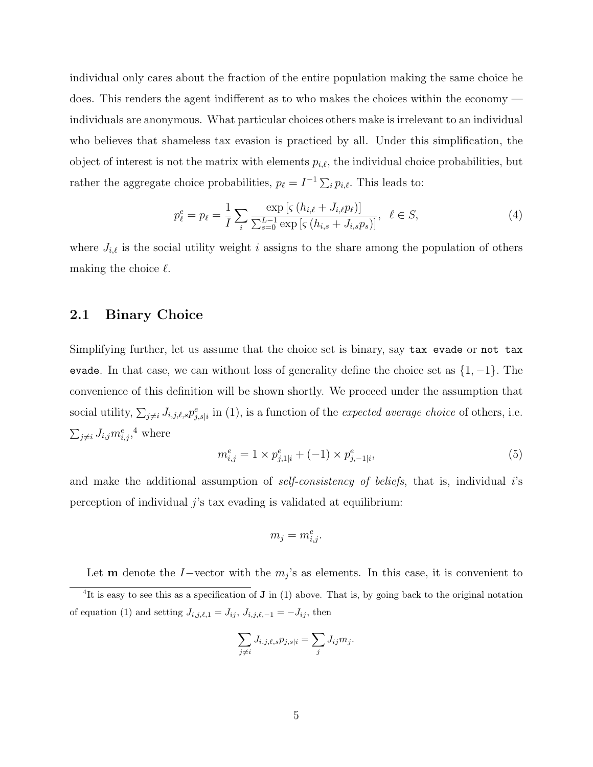individual only cares about the fraction of the entire population making the same choice he does. This renders the agent indifferent as to who makes the choices within the economy individuals are anonymous. What particular choices others make is irrelevant to an individual who believes that shameless tax evasion is practiced by all. Under this simplification, the object of interest is not the matrix with elements  $p_{i,\ell}$ , the individual choice probabilities, but rather the aggregate choice probabilities,  $p_{\ell} = I^{-1} \sum_{i} p_{i,\ell}$ . This leads to:

$$
p_{\ell}^{e} = p_{\ell} = \frac{1}{I} \sum_{i} \frac{\exp\left[s\left(h_{i,\ell} + J_{i,\ell}p_{\ell}\right)\right]}{\sum_{s=0}^{L-1} \exp\left[s\left(h_{i,s} + J_{i,s}p_{s}\right)\right]}, \ \ \ell \in S,
$$
\n(4)

where  $J_{i,\ell}$  is the social utility weight *i* assigns to the share among the population of others making the choice *ℓ.*

#### **2.1 Binary Choice**

Simplifying further, let us assume that the choice set is binary, say tax evade or not tax evade. In that case, we can without loss of generality define the choice set as *{*1*, −*1*}.* The convenience of this definition will be shown shortly. We proceed under the assumption that social utility,  $\sum_{j\neq i} J_{i,j,\ell,s} p_{j,s|i}^e$  in (1), is a function of the *expected average choice* of others, i.e.  $\sum_{j\neq i} J_{i,j} m_{i,j}^e,$ <sup>4</sup> where

$$
m_{i,j}^e = 1 \times p_{j,1|i}^e + (-1) \times p_{j,-1|i}^e,\tag{5}
$$

and make the additional assumption of *self-consistency of beliefs*, that is, individual *i*'s perception of individual *j*'s tax evading is validated at equilibrium:

$$
m_j = m_{i,j}^e.
$$

Let **m** denote the *I−*vector with the  $m_j$ 's as elements. In this case, it is convenient to <sup>4</sup>It is easy to see this as a specification of **J** in (1) above. That is, by going back to the original notation of equation (1) and setting  $J_{i,j,\ell,1} = J_{ij}$ ,  $J_{i,j,\ell,-1} = -J_{ij}$ , then

$$
\sum_{j \neq i} J_{i,j,\ell,s} p_{j,s|i} = \sum_j J_{ij} m_j.
$$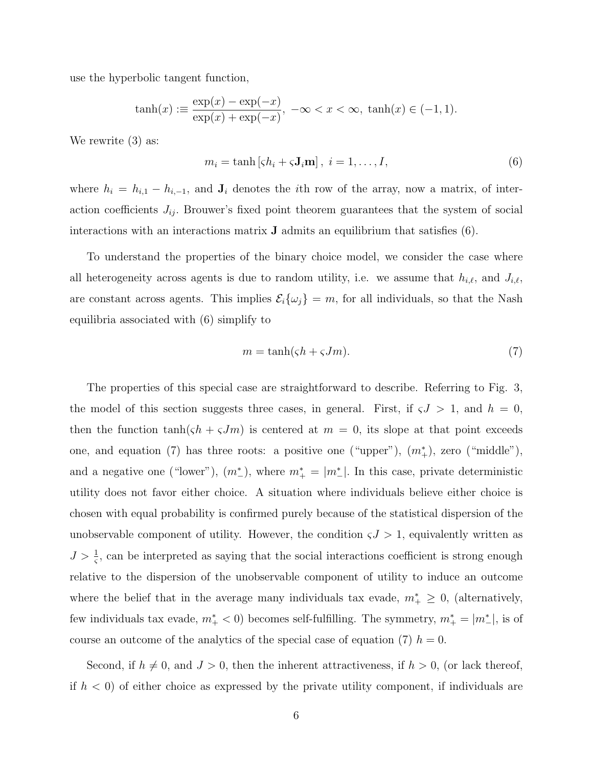use the hyperbolic tangent function,

$$
\tanh(x) := \frac{\exp(x) - \exp(-x)}{\exp(x) + \exp(-x)}, \ -\infty < x < \infty, \ \tanh(x) \in (-1, 1).
$$

We rewrite  $(3)$  as:

$$
m_i = \tanh\left[\zeta h_i + \zeta \mathbf{J}_i \mathbf{m}\right], \ i = 1, \dots, I,
$$
\n<sup>(6)</sup>

where  $h_i = h_{i,1} - h_{i,-1}$ , and  $\mathbf{J}_i$  denotes the *i*th row of the array, now a matrix, of interaction coefficients  $J_{ij}$ . Brouwer's fixed point theorem guarantees that the system of social interactions with an interactions matrix **J** admits an equilibrium that satisfies (6).

To understand the properties of the binary choice model, we consider the case where all heterogeneity across agents is due to random utility, i.e. we assume that  $h_{i,\ell}$ , and  $J_{i,\ell}$ , are constant across agents. This implies  $\mathcal{E}_i\{\omega_j\} = m$ , for all individuals, so that the Nash equilibria associated with (6) simplify to

$$
m = \tanh(\zeta h + \zeta Jm). \tag{7}
$$

The properties of this special case are straightforward to describe. Referring to Fig. 3, the model of this section suggests three cases, in general. First, if  $\zeta J > 1$ , and  $h = 0$ , then the function  $\tanh(\zeta h + \zeta Jm)$  is centered at  $m = 0$ , its slope at that point exceeds one, and equation (7) has three roots: a positive one ("upper"),  $(m^*_{+})$ , zero ("middle"), and a negative one ("lower"),  $(m<sup>*</sup>)$ , where  $m<sup>*</sup><sub>+</sub> = |m<sup>*</sup><sub>-</sub>|$ . In this case, private deterministic utility does not favor either choice. A situation where individuals believe either choice is chosen with equal probability is confirmed purely because of the statistical dispersion of the unobservable component of utility. However, the condition  $\zeta J > 1$ , equivalently written as  $J > \frac{1}{5}$ , can be interpreted as saying that the social interactions coefficient is strong enough relative to the dispersion of the unobservable component of utility to induce an outcome where the belief that in the average many individuals tax evade,  $m^*$   $\geq$  0, (alternatively, few individuals tax evade,  $m^*$  < 0) becomes self-fulfilling. The symmetry,  $m^*$  =  $|m^*$ <sub>-</sub> $|$ , is of course an outcome of the analytics of the special case of equation (7)  $h = 0$ .

Second, if  $h \neq 0$ , and  $J > 0$ , then the inherent attractiveness, if  $h > 0$ , (or lack thereof, if  $h < 0$ ) of either choice as expressed by the private utility component, if individuals are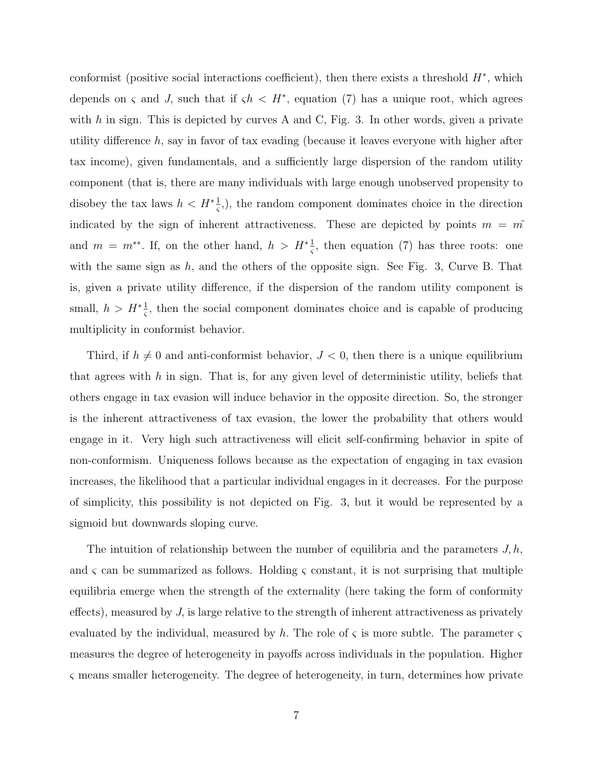conformist (positive social interactions coefficient), then there exists a threshold *H<sup>∗</sup> ,* which depends on *ς* and *J*, such that if  $\zeta h \leq H^*$ , equation (7) has a unique root, which agrees with *h* in sign. This is depicted by curves A and C, Fig. 3. In other words, given a private utility difference *h,* say in favor of tax evading (because it leaves everyone with higher after tax income), given fundamentals, and a sufficiently large dispersion of the random utility component (that is, there are many individuals with large enough unobserved propensity to disobey the tax laws  $h < H^*$ <sup>1</sup>/<sub>5</sub><sup>2</sup>, the random component dominates choice in the direction indicated by the sign of inherent attractiveness. These are depicted by points  $m = m^{\tilde{}}$ and  $m = m^{**}$ . If, on the other hand,  $h > H^* \frac{1}{\varsigma}$ , then equation (7) has three roots: one with the same sign as *h,* and the others of the opposite sign. See Fig. 3, Curve B. That is, given a private utility difference, if the dispersion of the random utility component is small,  $h > H^* \frac{1}{\varsigma}$ , then the social component dominates choice and is capable of producing multiplicity in conformist behavior.

Third, if  $h \neq 0$  and anti-conformist behavior,  $J < 0$ , then there is a unique equilibrium that agrees with *h* in sign. That is, for any given level of deterministic utility, beliefs that others engage in tax evasion will induce behavior in the opposite direction. So, the stronger is the inherent attractiveness of tax evasion, the lower the probability that others would engage in it. Very high such attractiveness will elicit self-confirming behavior in spite of non-conformism. Uniqueness follows because as the expectation of engaging in tax evasion increases, the likelihood that a particular individual engages in it decreases. For the purpose of simplicity, this possibility is not depicted on Fig. 3, but it would be represented by a sigmoid but downwards sloping curve.

The intuition of relationship between the number of equilibria and the parameters *J, h,* and  $\varsigma$  can be summarized as follows. Holding  $\varsigma$  constant, it is not surprising that multiple equilibria emerge when the strength of the externality (here taking the form of conformity effects), measured by *J,* is large relative to the strength of inherent attractiveness as privately evaluated by the individual, measured by *h.* The role of *ς* is more subtle. The parameter *ς* measures the degree of heterogeneity in payoffs across individuals in the population. Higher *ς* means smaller heterogeneity. The degree of heterogeneity, in turn, determines how private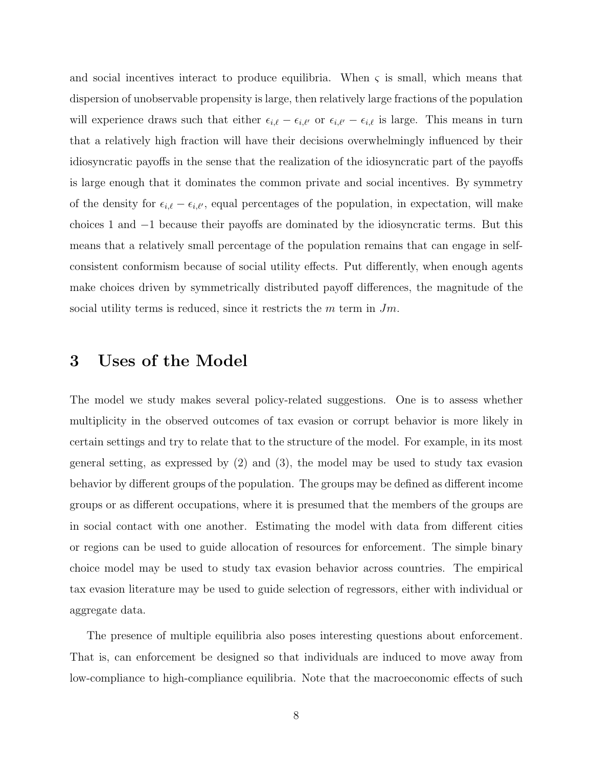and social incentives interact to produce equilibria. When  $\varsigma$  is small, which means that dispersion of unobservable propensity is large, then relatively large fractions of the population will experience draws such that either  $\epsilon_{i,\ell} - \epsilon_{i,\ell'}$  or  $\epsilon_{i,\ell'} - \epsilon_{i,\ell}$  is large. This means in turn that a relatively high fraction will have their decisions overwhelmingly influenced by their idiosyncratic payoffs in the sense that the realization of the idiosyncratic part of the payoffs is large enough that it dominates the common private and social incentives. By symmetry of the density for  $\epsilon_{i,\ell} - \epsilon_{i,\ell'}$ , equal percentages of the population, in expectation, will make choices 1 and *−*1 because their payoffs are dominated by the idiosyncratic terms. But this means that a relatively small percentage of the population remains that can engage in selfconsistent conformism because of social utility effects. Put differently, when enough agents make choices driven by symmetrically distributed payoff differences, the magnitude of the social utility terms is reduced, since it restricts the *m* term in *Jm.*

### **3 Uses of the Model**

The model we study makes several policy-related suggestions. One is to assess whether multiplicity in the observed outcomes of tax evasion or corrupt behavior is more likely in certain settings and try to relate that to the structure of the model. For example, in its most general setting, as expressed by (2) and (3), the model may be used to study tax evasion behavior by different groups of the population. The groups may be defined as different income groups or as different occupations, where it is presumed that the members of the groups are in social contact with one another. Estimating the model with data from different cities or regions can be used to guide allocation of resources for enforcement. The simple binary choice model may be used to study tax evasion behavior across countries. The empirical tax evasion literature may be used to guide selection of regressors, either with individual or aggregate data.

The presence of multiple equilibria also poses interesting questions about enforcement. That is, can enforcement be designed so that individuals are induced to move away from low-compliance to high-compliance equilibria. Note that the macroeconomic effects of such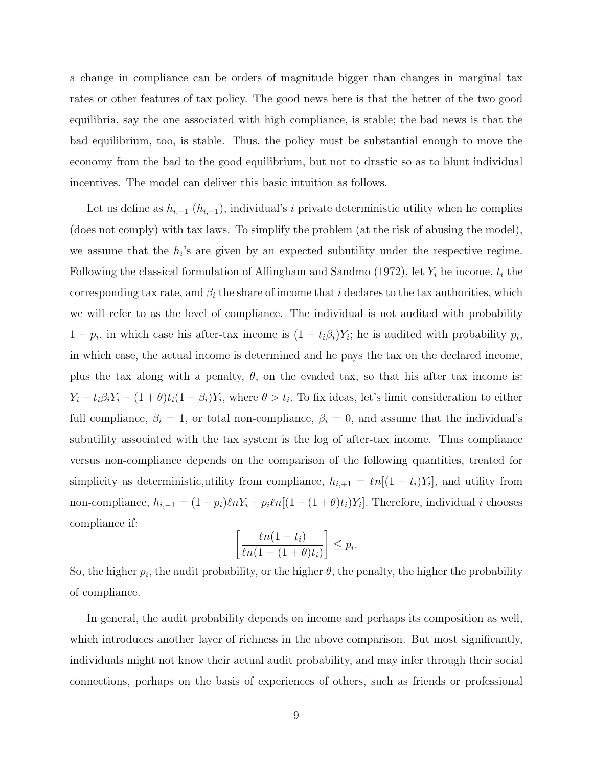a change in compliance can be orders of magnitude bigger than changes in marginal tax rates or other features of tax policy. The good news here is that the better of the two good equilibria, say the one associated with high compliance, is stable; the bad news is that the bad equilibrium, too, is stable. Thus, the policy must be substantial enough to move the economy from the bad to the good equilibrium, but not to drastic so as to blunt individual incentives. The model can deliver this basic intuition as follows.

Let us define as  $h_{i+1}$   $(h_{i-1})$ *,* individual's *i* private deterministic utility when he complies (does not comply) with tax laws. To simplify the problem (at the risk of abusing the model), we assume that the  $h_i$ 's are given by an expected subutility under the respective regime. Following the classical formulation of Allingham and Sandmo (1972), let *Y<sup>i</sup>* be income, *t<sup>i</sup>* the corresponding tax rate, and  $\beta_i$  the share of income that *i* declares to the tax authorities, which we will refer to as the level of compliance. The individual is not audited with probability  $1 - p_i$ , in which case his after-tax income is  $(1 - t_i\beta_i)Y_i$ ; he is audited with probability  $p_i$ , in which case, the actual income is determined and he pays the tax on the declared income, plus the tax along with a penalty,  $\theta$ , on the evaded tax, so that his after tax income is:  $Y_i - t_i \beta_i Y_i - (1 + \theta) t_i (1 - \beta_i) Y_i$ , where  $\theta > t_i$ . To fix ideas, let's limit consideration to either full compliance,  $\beta_i = 1$ , or total non-compliance,  $\beta_i = 0$ , and assume that the individual's subutility associated with the tax system is the log of after-tax income. Thus compliance versus non-compliance depends on the comparison of the following quantities, treated for simplicity as deterministic,utility from compliance,  $h_{i+1} = \ell n[(1-t_i)Y_i]$ , and utility from non-compliance,  $h_{i,-1} = (1 - p_i)\ell n Y_i + p_i \ell n [(1 - (1 + \theta)t_i)Y_i]$ . Therefore, individual *i* chooses compliance if:

$$
\left[\frac{\ln(1-t_i)}{\ln(1-(1+\theta)t_i)}\right] \le p_i.
$$

So, the higher  $p_i$ , the audit probability, or the higher  $\theta$ , the penalty, the higher the probability of compliance.

In general, the audit probability depends on income and perhaps its composition as well, which introduces another layer of richness in the above comparison. But most significantly, individuals might not know their actual audit probability, and may infer through their social connections, perhaps on the basis of experiences of others, such as friends or professional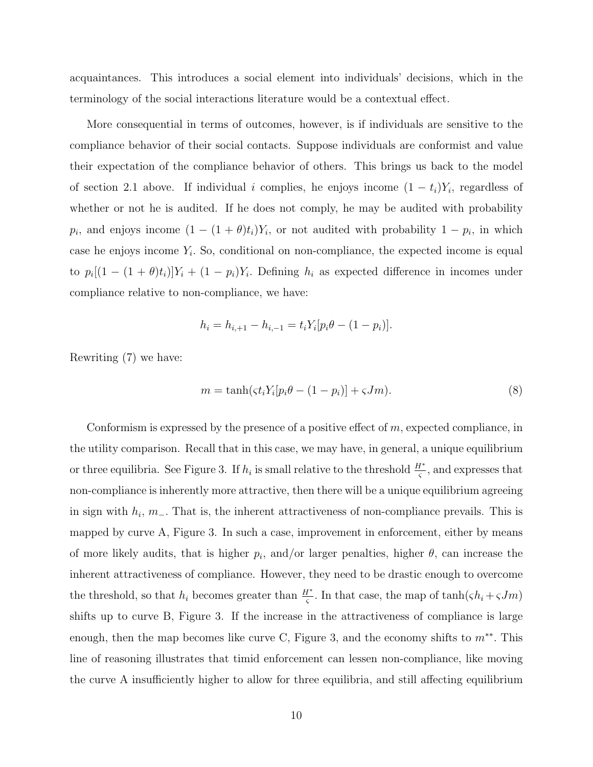acquaintances. This introduces a social element into individuals' decisions, which in the terminology of the social interactions literature would be a contextual effect.

More consequential in terms of outcomes, however, is if individuals are sensitive to the compliance behavior of their social contacts. Suppose individuals are conformist and value their expectation of the compliance behavior of others. This brings us back to the model of section 2.1 above. If individual *i* complies, he enjoys income  $(1 - t_i)Y_i$ , regardless of whether or not he is audited. If he does not comply, he may be audited with probability *p*<sup>*i*</sup>, and enjoys income  $(1 - (1 + \theta)t_i)Y_i$ , or not audited with probability  $1 - p_i$ , in which case he enjoys income  $Y_i$ . So, conditional on non-compliance, the expected income is equal to  $p_i[(1 - (1 + \theta)t_i)]Y_i + (1 - p_i)Y_i$ . Defining  $h_i$  as expected difference in incomes under compliance relative to non-compliance, we have:

$$
h_i = h_{i, +1} - h_{i, -1} = t_i Y_i [p_i \theta - (1 - p_i)].
$$

Rewriting (7) we have:

$$
m = \tanh\left(\zeta t_i Y_i [p_i \theta - (1 - p_i)] + \zeta J m\right). \tag{8}
$$

Conformism is expressed by the presence of a positive effect of *m,* expected compliance, in the utility comparison. Recall that in this case, we may have, in general, a unique equilibrium or three equilibria. See Figure 3. If  $h_i$  is small relative to the threshold  $\frac{H^*}{\varsigma}$ , and expresses that non-compliance is inherently more attractive, then there will be a unique equilibrium agreeing in sign with *h<sup>i</sup> , m−.* That is, the inherent attractiveness of non-compliance prevails. This is mapped by curve A, Figure 3. In such a case, improvement in enforcement, either by means of more likely audits, that is higher  $p_i$ , and/or larger penalties, higher  $\theta$ , can increase the inherent attractiveness of compliance. However, they need to be drastic enough to overcome the threshold, so that  $h_i$  becomes greater than  $\frac{H^*}{\varsigma}$ . In that case, the map of tanh( $\varsigma h_i + \varsigma Jm$ ) shifts up to curve B, Figure 3. If the increase in the attractiveness of compliance is large enough, then the map becomes like curve C, Figure 3, and the economy shifts to *m∗∗ .* This line of reasoning illustrates that timid enforcement can lessen non-compliance, like moving the curve A insufficiently higher to allow for three equilibria, and still affecting equilibrium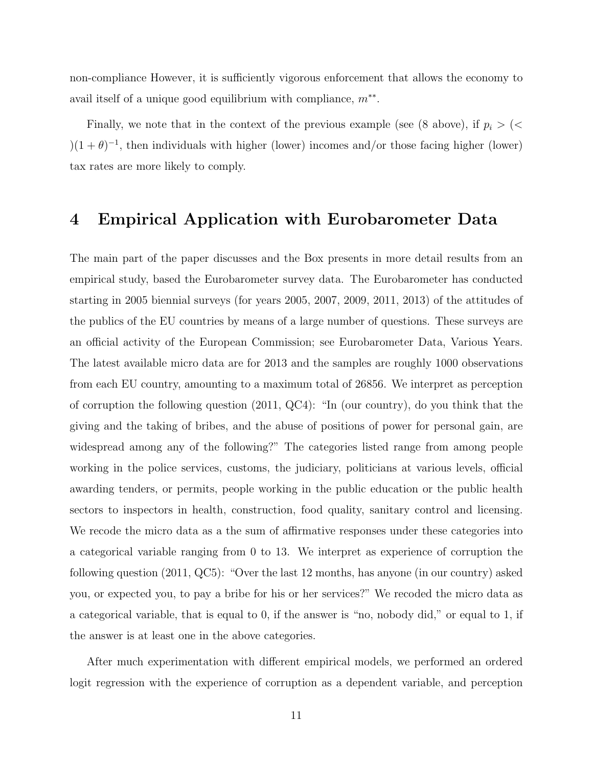non-compliance However, it is sufficiently vigorous enforcement that allows the economy to avail itself of a unique good equilibrium with compliance, *m∗∗ .*

Finally, we note that in the context of the previous example (see (8 above), if  $p_i$  > (<  $(1 + \theta)^{-1}$ , then individuals with higher (lower) incomes and/or those facing higher (lower) tax rates are more likely to comply.

## **4 Empirical Application with Eurobarometer Data**

The main part of the paper discusses and the Box presents in more detail results from an empirical study, based the Eurobarometer survey data. The Eurobarometer has conducted starting in 2005 biennial surveys (for years 2005, 2007, 2009, 2011, 2013) of the attitudes of the publics of the EU countries by means of a large number of questions. These surveys are an official activity of the European Commission; see Eurobarometer Data, Various Years. The latest available micro data are for 2013 and the samples are roughly 1000 observations from each EU country, amounting to a maximum total of 26856. We interpret as perception of corruption the following question (2011, QC4): "In (our country), do you think that the giving and the taking of bribes, and the abuse of positions of power for personal gain, are widespread among any of the following?" The categories listed range from among people working in the police services, customs, the judiciary, politicians at various levels, official awarding tenders, or permits, people working in the public education or the public health sectors to inspectors in health, construction, food quality, sanitary control and licensing. We recode the micro data as a the sum of affirmative responses under these categories into a categorical variable ranging from 0 to 13. We interpret as experience of corruption the following question (2011, QC5): "Over the last 12 months, has anyone (in our country) asked you, or expected you, to pay a bribe for his or her services?" We recoded the micro data as a categorical variable, that is equal to 0, if the answer is "no, nobody did," or equal to 1, if the answer is at least one in the above categories.

After much experimentation with different empirical models, we performed an ordered logit regression with the experience of corruption as a dependent variable, and perception